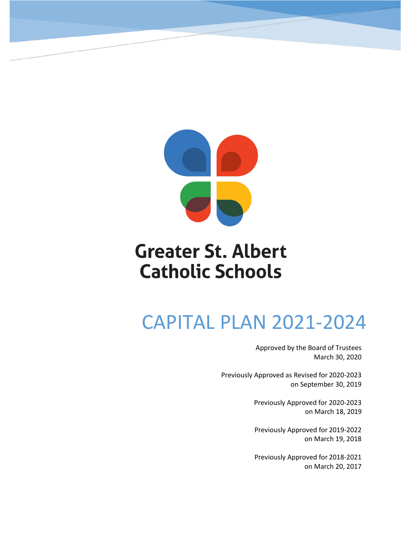

## **Greater St. Albert Catholic Schools**

## CAPITAL PLAN 2021-2024

Approved by the Board of Trustees March 30, 2020

Previously Approved as Revised for 2020-2023 on September 30, 2019

> Previously Approved for 2020-2023 on March 18, 2019

> Previously Approved for 2019-2022 on March 19, 2018

> Previously Approved for 2018-2021 on March 20, 2017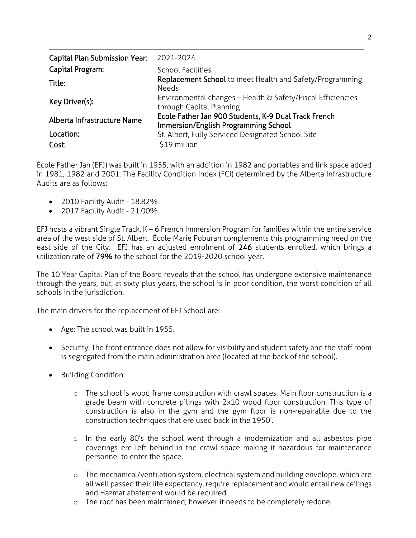| <b>Capital Plan Submission Year:</b> | 2021-2024                                                                                    |
|--------------------------------------|----------------------------------------------------------------------------------------------|
| Capital Program:                     | <b>School Facilities</b>                                                                     |
| Title:                               | Replacement School to meet Health and Safety/Programming<br><b>Needs</b>                     |
| Key Driver(s):                       | Environmental changes - Health & Safety/Fiscal Efficiencies<br>through Capital Planning      |
| Alberta Infrastructure Name          | Ecole Father Jan 900 Students, K-9 Dual Track French<br>Immersion/English Programming School |
| Location:                            | St. Albert, Fully Serviced Designated School Site                                            |
| Cost:                                | \$19 million                                                                                 |

École Father Jan (EFJ) was built in 1955, with an addition in 1982 and portables and link space added in 1981, 1982 and 2001. The Facility Condition Index (FCI) determined by the Alberta Infrastructure Audits are as follows:

- 2010 Facility Audit 18.82%
- 2017 Facility Audit 21.00%.

EFJ hosts a vibrant Single Track, K – 6 French Immersion Program for families within the entire service area of the west side of St. Albert. École Marie Poburan complements this programming need on the east side of the City. EFJ has an adjusted enrolment of 246 students enrolled, which brings a utilization rate of 79% to the school for the 2019-2020 school year.

The 10 Year Capital Plan of the Board reveals that the school has undergone extensive maintenance through the years, but, at sixty plus years, the school is in poor condition, the worst condition of all schools in the jurisdiction.

The main drivers for the replacement of EFJ School are:

- Age: The school was built in 1955.
- Security: The front entrance does not allow for visibility and student safety and the staff room is segregated from the main administration area (located at the back of the school).
- Building Condition:
	- o The school is wood frame construction with crawl spaces. Main floor construction is a grade beam with concrete pilings with 2x10 wood floor construction. This type of construction is also in the gym and the gym floor is non-repairable due to the construction techniques that ere used back in the 1950'.
	- o In the early 80's the school went through a modernization and all asbestos pipe coverings ere left behind in the crawl space making it hazardous for maintenance personnel to enter the space.
	- o The mechanical/ventilation system, electrical system and building envelope, which are all well passed their life expectancy, require replacement and would entail new ceilings and Hazmat abatement would be required.
	- o The roof has been maintained; however it needs to be completely redone.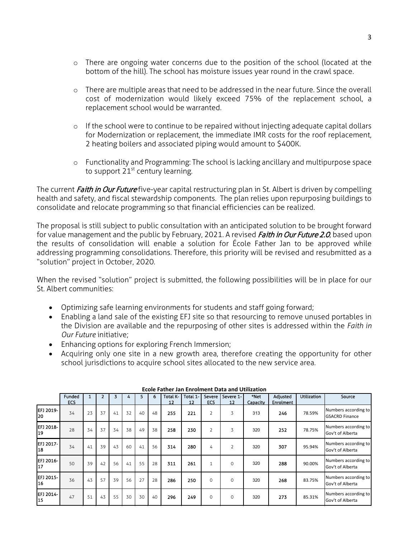- o There are ongoing water concerns due to the position of the school (located at the bottom of the hill). The school has moisture issues year round in the crawl space.
- o There are multiple areas that need to be addressed in the near future. Since the overall cost of modernization would likely exceed 75% of the replacement school, a replacement school would be warranted.
- o If the school were to continue to be repaired without injecting adequate capital dollars for Modernization or replacement, the immediate IMR costs for the roof replacement, 2 heating boilers and associated piping would amount to \$400K.
- o Functionality and Programming: The school is lacking ancillary and multipurpose space to support  $21^{st}$  century learning.

The current Faith in Our Future five-year capital restructuring plan in St. Albert is driven by compelling health and safety, and fiscal stewardship components. The plan relies upon repurposing buildings to consolidate and relocate programming so that financial efficiencies can be realized.

The proposal is still subject to public consultation with an anticipated solution to be brought forward for value management and the public by February, 2021. A revised Faith in Our Future 2.0, based upon the results of consolidation will enable a solution for École Father Jan to be approved while addressing programming consolidations. Therefore, this priority will be revised and resubmitted as a "solution" project in October, 2020.

When the revised "solution" project is submitted, the following possibilities will be in place for our St. Albert communities:

- Optimizing safe learning environments for students and staff going forward;
- Enabling a land sale of the existing EFJ site so that resourcing to remove unused portables in the Division are available and the repurposing of other sites is addressed within the *Faith in Our Future* initiative;
- Enhancing options for exploring French Immersion;
- Acquiring only one site in a new growth area, therefore creating the opportunity for other school jurisdictions to acquire school sites allocated to the new service area.

|                         | Funded |    |    |    | 4  |    | 6  | Total K- | Total 1- | Severe         | Severe 1-      | *Net     | Adjusted  | <b>Utilization</b> | Source                                        |
|-------------------------|--------|----|----|----|----|----|----|----------|----------|----------------|----------------|----------|-----------|--------------------|-----------------------------------------------|
|                         | ECS    |    |    |    |    |    |    | 12       | 12       | <b>ECS</b>     | 12             | Capacity | Enrolment |                    |                                               |
| EFJ 2019-<br>20         | 34     | 23 | 37 | 41 | 32 | 40 | 48 | 255      | 221      | $\overline{2}$ | 3              | 313      | 246       | 78.59%             | Numbers according to<br><b>GSACRD Finance</b> |
| EFJ 2018-<br>119        | 28     | 34 | 37 | 34 | 38 | 49 | 38 | 258      | 230      | 2              | 3              | 320      | 252       | 78.75%             | Numbers according to<br>Gov't of Alberta      |
| EFJ 2017-<br>18         | 34     | 41 | 39 | 43 | 60 | 41 | 56 | 314      | 280      | 4              | $\overline{2}$ | 320      | 307       | 95.94%             | Numbers according to<br>Gov't of Alberta      |
| EFJ 2016-<br>117        | 50     | 39 | 42 | 56 | 41 | 55 | 28 | 311      | 261      |                | $\mathbf 0$    | 320      | 288       | 90.00%             | Numbers according to<br>Gov't of Alberta      |
| EFJ 2015-<br>16         | 36     | 43 | 57 | 39 | 56 | 27 | 28 | 286      | 250      | $\Omega$       | $\Omega$       | 320      | 268       | 83.75%             | Numbers according to<br>Gov't of Alberta      |
| <b>IEFJ 2014-</b><br>15 | 47     | 51 | 43 | 55 | 30 | 30 | 40 | 296      | 249      | $\Omega$       | 0              | 320      | 273       | 85.31%             | Numbers according to<br>Gov't of Alberta      |

## **Ecole Father Jan Enrolment Data and Utilization**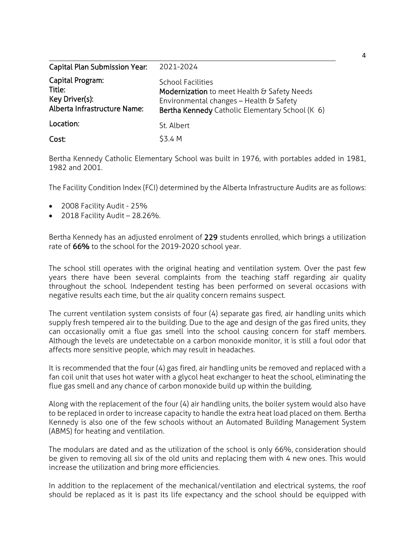| <b>Capital Plan Submission Year:</b>                                         | 2021-2024                                                                                                                                                             |
|------------------------------------------------------------------------------|-----------------------------------------------------------------------------------------------------------------------------------------------------------------------|
| Capital Program:<br>Title:<br>Key Driver(s):<br>Alberta Infrastructure Name: | <b>School Facilities</b><br>Modernization to meet Health & Safety Needs<br>Environmental changes - Health & Safety<br>Bertha Kennedy Catholic Elementary School (K 6) |
| Location:                                                                    | St. Albert                                                                                                                                                            |
| Cost:                                                                        | \$3.4 M                                                                                                                                                               |

Bertha Kennedy Catholic Elementary School was built in 1976, with portables added in 1981, 1982 and 2001.

The Facility Condition Index (FCI) determined by the Alberta Infrastructure Audits are as follows:

- 2008 Facility Audit 25%
- $\bullet$  2018 Facility Audit 28.26%.

Bertha Kennedy has an adjusted enrolment of 229 students enrolled, which brings a utilization rate of 66% to the school for the 2019-2020 school year.

The school still operates with the original heating and ventilation system. Over the past few years there have been several complaints from the teaching staff regarding air quality throughout the school. Independent testing has been performed on several occasions with negative results each time, but the air quality concern remains suspect.

The current ventilation system consists of four (4) separate gas fired, air handling units which supply fresh tempered air to the building. Due to the age and design of the gas fired units, they can occasionally omit a flue gas smell into the school causing concern for staff members. Although the levels are undetectable on a carbon monoxide monitor, it is still a foul odor that affects more sensitive people, which may result in headaches.

It is recommended that the four (4) gas fired, air handling units be removed and replaced with a fan coil unit that uses hot water with a glycol heat exchanger to heat the school, eliminating the flue gas smell and any chance of carbon monoxide build up within the building.

Along with the replacement of the four (4) air handling units, the boiler system would also have to be replaced in order to increase capacity to handle the extra heat load placed on them. Bertha Kennedy is also one of the few schools without an Automated Building Management System (ABMS) for heating and ventilation.

The modulars are dated and as the utilization of the school is only 66%, consideration should be given to removing all six of the old units and replacing them with 4 new ones. This would increase the utilization and bring more efficiencies.

In addition to the replacement of the mechanical/ventilation and electrical systems, the roof should be replaced as it is past its life expectancy and the school should be equipped with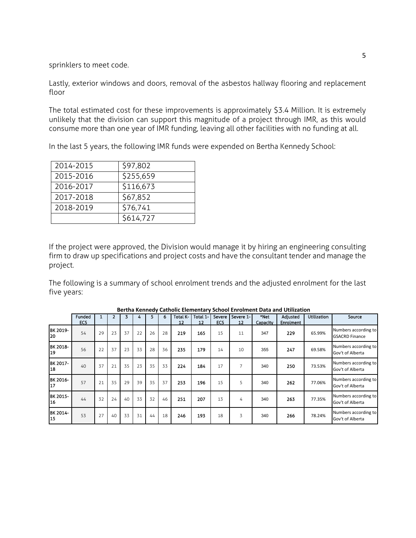sprinklers to meet code.

Lastly, exterior windows and doors, removal of the asbestos hallway flooring and replacement floor

The total estimated cost for these improvements is approximately \$3.4 Million. It is extremely unlikely that the division can support this magnitude of a project through IMR, as this would consume more than one year of IMR funding, leaving all other facilities with no funding at all.

In the last 5 years, the following IMR funds were expended on Bertha Kennedy School:

| 2014-2015 | \$97,802  |
|-----------|-----------|
| 2015-2016 | \$255,659 |
| 2016-2017 | \$116,673 |
| 2017-2018 | \$67,852  |
| 2018-2019 | \$76,741  |
|           | \$614,727 |

If the project were approved, the Division would manage it by hiring an engineering consulting firm to draw up specifications and project costs and have the consultant tender and manage the project.

The following is a summary of school enrolment trends and the adjusted enrolment for the last five years:

|                       | Funded<br><b>ECS</b> |    | 2  | 3  | 4  | 5  | 6  | Total K-<br>12 | Total 1-<br>12 | Severe<br><b>ECS</b> | l Severe 1-<br>12 | *Net<br>Capacity | Adjusted<br><b>Enrolment</b> | <b>Utilization</b> | Source                                        |
|-----------------------|----------------------|----|----|----|----|----|----|----------------|----------------|----------------------|-------------------|------------------|------------------------------|--------------------|-----------------------------------------------|
| BK 2019-<br>20        | 54                   | 29 | 23 | 37 | 22 | 26 | 28 | 219            | 165            | 15                   | 11                | 347              | 229                          | 65.99%             | Numbers according to<br><b>GSACRD Finance</b> |
| BK 2018-<br>19        | 56                   | 22 | 37 | 23 | 33 | 28 | 36 | 235            | 179            | 14                   | 10                | 355              | 247                          | 69.58%             | Numbers according to<br>Gov't of Alberta      |
| BK 2017-<br>18        | 40                   | 37 | 21 | 35 | 23 | 35 | 33 | 224            | 184            | 17                   | 7                 | 340              | 250                          | 73.53%             | Numbers according to<br>Gov't of Alberta      |
| BK 2016-<br>17        | 57                   | 21 | 35 | 29 | 39 | 35 | 37 | 253            | 196            | 15                   | 5                 | 340              | 262                          | 77.06%             | Numbers according to<br>Gov't of Alberta      |
| BK 2015-<br><b>16</b> | 44                   | 32 | 24 | 40 | 33 | 32 | 46 | 251            | 207            | 13                   | 4                 | 340              | 263                          | 77.35%             | Numbers according to<br>Gov't of Alberta      |
| BK 2014-<br>15        | 53                   | 27 | 40 | 33 | 31 | 44 | 18 | 246            | 193            | 18                   | 3                 | 340              | 266                          | 78.24%             | Numbers according to<br>Gov't of Alberta      |

**Bertha Kennedy Catholic Elementary School Enrolment Data and Utilization**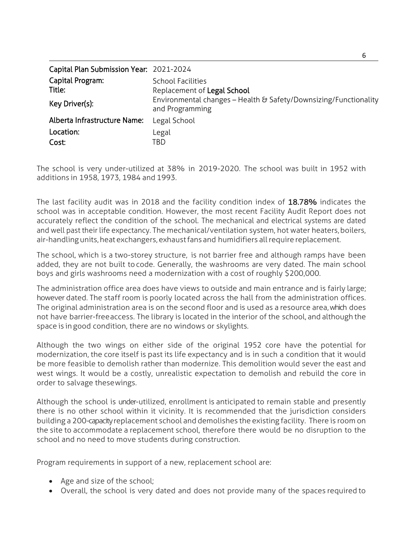| Capital Plan Submission Year: 2021-2024 |                                                                                     |
|-----------------------------------------|-------------------------------------------------------------------------------------|
| Capital Program:                        | <b>School Facilities</b>                                                            |
| Title:                                  | Replacement of Legal School                                                         |
| Key Driver(s):                          | Environmental changes – Health & Safety/Downsizing/Functionality<br>and Programming |
| Alberta Infrastructure Name:            | Legal School                                                                        |
| Location:                               | Legal                                                                               |
| Cost:                                   | TBD                                                                                 |

The school is very under-utilized at 38% in 2019-2020. The school was built in 1952 with additions in 1958, 1973, 1984 and 1993.

The last facility audit was in 2018 and the facility condition index of 18.78% indicates the school was in acceptable condition. However, the most recent Facility Audit Report does not accurately reflect the condition of the school. The mechanical and electrical systems are dated and well past their life expectancy. The mechanical/ventilation system, hot water heaters, boilers, air-handlingunits,heat exchangers,exhaustfans and humidifiers allrequire replacement.

The school, which is a two-storey structure, is not barrier free and although ramps have been added, they are not built tocode. Generally, the washrooms are very dated. The main school boys and girls washrooms need a modernization with a cost of roughly \$200,000.

The administration office area does have views to outside and main entrance and is fairly large; however dated. The staff room is poorly located across the hall from the administration offices. The original administration area is on the second floor and is used as a resource area, which does not have barrier-freeaccess. The library is located in the interior of the school, and although the space is in good condition, there are no windows or skylights.

Although the two wings on either side of the original 1952 core have the potential for modernization, the core itself is past its life expectancy and is in such a condition that it would be more feasible to demolish rather than modernize. This demolition would sever the east and west wings. It would be a costly, unrealistic expectation to demolish and rebuild the core in order to salvage thesewings.

Although the school is under-utilized, enrollment is anticipated to remain stable and presently there is no other school within it vicinity. It is recommended that the jurisdiction considers building a 200-capacityreplacement school and demolishes the existing facility. There is room on the site to accommodate a replacement school, therefore there would be no disruption to the school and no need to move students during construction.

Program requirements in support of a new, replacement school are:

- Age and size of the school;
- Overall, the school is very dated and does not provide many of the spaces required to